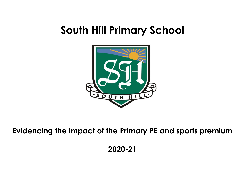## **South Hill Primary School**



**Evidencing the impact of the Primary PE and sports premium** 

**2020-21**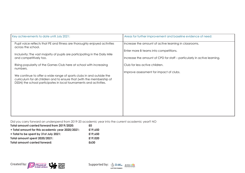| Key achievements to date until July 2021:                                                                                                                                                                                                                                                                                                                                                                                                                                                                            | Areas for further improvement and baseline evidence of need:                                                                                                                                                                                           |
|----------------------------------------------------------------------------------------------------------------------------------------------------------------------------------------------------------------------------------------------------------------------------------------------------------------------------------------------------------------------------------------------------------------------------------------------------------------------------------------------------------------------|--------------------------------------------------------------------------------------------------------------------------------------------------------------------------------------------------------------------------------------------------------|
| Pupil voice reflects that PE and fitness are thoroughly enjoyed activities<br>across the school.<br>Inclusivity: The vast majority of pupils are participating in the Daily Mile<br>and competitively too.<br>Rising popularity of the Games Club here at school with increasing<br>numbers.<br>We continue to offer a wide range of sports clubs in and outside the<br>curriculum for all children and to ensure that (with the membership of<br>DSSN) the school participates in local tournaments and activities. | Increase the amount of active learning in classrooms.<br>Enter more B teams into competitions.<br>Increase the amount of CPD for staff – particularly in active learning.<br>Club for less active children.<br>Improve assessment for impact of clubs. |

Did you carry forward an underspend from 2019-20 academic year into the current academic year? NO

| Total amount carried forward from 2019/2020:     | £O      |
|--------------------------------------------------|---------|
| + Total amount for this academic year 2020/2021: | £19,650 |
| $=$ Total to be spent by 31st July 2021:         | £19,650 |
| Total amount spent 2020/2021:                    | £19,020 |
| <b>Total amount carried forward:</b>             | £630    |



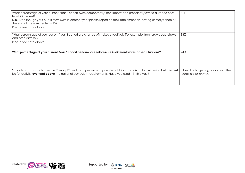| What percentage of your current Year 6 cohort swim competently, confidently and proficiently over a distance of at<br>least 25 metres?<br>N.B. Even though your pupils may swim in another year please report on their attainment on leaving primary schoolat<br>the end of the summer term 2021.<br>Please see note above. | 81%                                                         |
|-----------------------------------------------------------------------------------------------------------------------------------------------------------------------------------------------------------------------------------------------------------------------------------------------------------------------------|-------------------------------------------------------------|
| What percentage of your current Year 6 cohort use a range of strokes effectively [for example, front crawl, backstroke<br>and breaststroke]?<br>Please see note above.                                                                                                                                                      | 86%                                                         |
| What percentage of your current Year 6 cohort perform safe self-rescue in different water-based situations?                                                                                                                                                                                                                 | 74%                                                         |
| Schools can choose to use the Primary PE and sport premium to provide additional provision for swimming but thismust<br>be for activity over and above the national curriculum requirements. Have you used it in this way?                                                                                                  | No – due to getting a space at the<br>local leisure centre. |



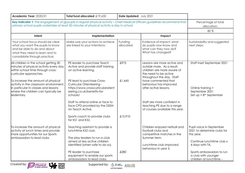| Academic Year: 2020/21                                                                                                                                                    | Total fund allocated: £19,650                                                                                                                                                                                             | Date Updated: July 2021 |                                                                                                                                               |                                                                             |
|---------------------------------------------------------------------------------------------------------------------------------------------------------------------------|---------------------------------------------------------------------------------------------------------------------------------------------------------------------------------------------------------------------------|-------------------------|-----------------------------------------------------------------------------------------------------------------------------------------------|-----------------------------------------------------------------------------|
|                                                                                                                                                                           | Key indicator 1: The engagement of all pupils in regular physical activity - Chief Medical Officers guidelines recommend that<br>primary school pupils undertake at least 30 minutes of physical activity a day in school |                         |                                                                                                                                               |                                                                             |
| Intent                                                                                                                                                                    | Implementation                                                                                                                                                                                                            |                         | Impact                                                                                                                                        |                                                                             |
| Your school focus should be clear<br>what you want the pupils to know<br>and be able to do and about<br>what they need to learn and to<br>consolidate through practice:   | Make sure your actions to achieve<br>are linked to your intentions:                                                                                                                                                       | Funding<br>allocated:   | Evidence of impact: what<br>do pupils now know and<br>what can they now do?<br>What has changed?                                              | Sustainability and suggested<br>next steps:                                 |
| All children in the school getting 30<br>minutes of physical activity every day<br>within school time through cross-<br>curricular approaches.                            | PE leader to purchase Teach<br>Active and provide staff training<br>on active learning.                                                                                                                                   | £975                    | Lessons are more active and<br>outside more. As a result,<br>children are more aware of<br>the need to be active<br>throughout the day. Staff | Staff inset September 2021                                                  |
| To increase the amount of physical<br>activity in the classroom environment,<br>in particular in classes and lessons<br>where the children can typically be<br>sedentary. | PE lead to purchase Cross-<br>Curricular Orienteering -<br>https://www.crosscurricularorient<br>eering.co.uk/benefits-for-<br>schools/                                                                                    | £1,645                  | have commented that<br>behaviour has improved<br>after active lessons.                                                                        | Online training =<br>September 2021<br>Set $up = 8th$ September             |
|                                                                                                                                                                           | Staff to attend online or face to<br>face CPD provided by the DSSN<br>on Teach Active.                                                                                                                                    |                         | Staff are more confident in<br>teaching PE due to a range<br>of courses available this year.                                                  |                                                                             |
|                                                                                                                                                                           | Sports coach to provide clubs<br>for KS1 and KS2.                                                                                                                                                                         | £12,910                 |                                                                                                                                               |                                                                             |
| To increase the amount of physical<br>activity at lunch times and provide<br>more opportunities for our Sports                                                            | Teaching assistant to provide a<br>lunchtime KS2 club.                                                                                                                                                                    |                         | Children enjoyed netball and<br>football clubs and<br>competitive matches in the                                                              | Pupil voice in September<br>2021 to determine clubs for<br>this year.       |
| ambassadors to lead clubs.                                                                                                                                                | The play leaders to run a club<br>aimed at less active children<br>identified (when safe to do so).                                                                                                                       |                         | Summer term.<br>Lunchtime club improved<br>behaviour in year 5.                                                                               | Continue lunchtime club x<br>4 days with TA.                                |
|                                                                                                                                                                           | PE leader to purchase<br>equipment to enable our sports<br>ambassadors to lead clubs.                                                                                                                                     | £280                    |                                                                                                                                               | Sports ambassadors to run<br>a club with younger<br>children at lunchtime - |





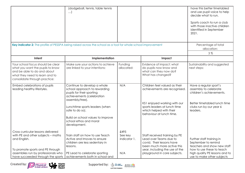|                                                                                                                                                                                                          | (dodgeball, tennis, table tennis<br>$\ldots)$                                                                                                                                    |                                        |                                                                                                                                                                                      | have this better timetabled<br>and use pupil voice to help<br>decide what to run.<br>Sports coach to run a club<br>with those inactive children<br>identified in September<br>2021. |
|----------------------------------------------------------------------------------------------------------------------------------------------------------------------------------------------------------|----------------------------------------------------------------------------------------------------------------------------------------------------------------------------------|----------------------------------------|--------------------------------------------------------------------------------------------------------------------------------------------------------------------------------------|-------------------------------------------------------------------------------------------------------------------------------------------------------------------------------------|
| Key indicator 2: The profile of PESSPA being raised across the school as a tool for whole school improvement                                                                                             |                                                                                                                                                                                  |                                        |                                                                                                                                                                                      | Percentage of total<br>allocation:                                                                                                                                                  |
|                                                                                                                                                                                                          |                                                                                                                                                                                  |                                        |                                                                                                                                                                                      | 3%                                                                                                                                                                                  |
| Intent                                                                                                                                                                                                   | Implementation                                                                                                                                                                   |                                        | Impact                                                                                                                                                                               |                                                                                                                                                                                     |
| Your school focus should be clear<br>what you want the pupils to know<br>and be able to do and about<br>what they need to learn and to<br>consolidate through practice:                                  | Make sure your actions to achieve<br>are linked to your intentions:                                                                                                              | Funding<br>allocated:                  | Evidence of impact: what<br>do pupils now know and<br>what can they now do?<br>What has changed?                                                                                     | Sustainability and suggested<br>next steps:                                                                                                                                         |
| Embed celebrations of pupils<br>leading healthy lifestyles.                                                                                                                                              | Continue to develop a whole<br>school approach to rewarding<br>pupils for their sporting<br>achievements (celebration<br>assembly/tree).                                         | N/A                                    | Children feel valued as their<br>achievements are recognised.                                                                                                                        | Have a regular sport's<br>assembly to celebrate<br>children's achievements.                                                                                                         |
|                                                                                                                                                                                                          | Lunchtime sports leaders (when<br>safe to do so).<br>Build on school values to improve<br>school ethos and moral<br>development.                                                 |                                        | KS1 enjoyed working with our<br>sports leaders at lunch time<br>which helped with their<br>behaviour at lunch time.                                                                  | Better timetabled lunch time<br>clubs run by our year 6<br>leaders.                                                                                                                 |
| Cross curricular lessons delivered<br>with PE and other subjects - maths<br>and English.<br>To promote sports and PE through<br>assemblies run by professionals who<br>have succeeded through the sports | Train staff on how to use Teach<br>Active and Imoves to ensure<br>children are less sedentary in<br>lessons.<br>PE Lead to celebrate sporting<br>achievements both in school and | £495<br>See key<br>indicator 1.<br>N/A | Staff received training by PE<br>Lead over Teams due to<br>covid. Their lessons have<br>been much more active this<br>year, including the use of the<br>playground in core subjects. | Further staff training in<br>September to remind<br>teachers and show new staff<br>how to use these to teach<br>high quality PE lessons and to<br>use to make other subjects        |





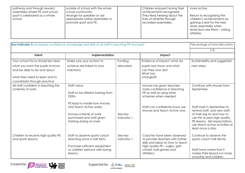| outside of school with the whole<br>pathway and through reward<br>assemblies where PE and school<br>school community.<br>Arrange for speakers or use<br>sport is celebrated as a whole<br>appropriate online assemblies to<br>school.<br>promote sport and PE. | Children enjoyed having their<br>achievements recognised.<br>They liked hearing about the<br>lives of athletes through<br>recorded assemblies. | more active.<br>Return to recognising the<br>children's achievements by<br>gaining a leaf for the tree.<br>More assemblies when<br>restrictions are lifted - visiting<br>athletes. |
|----------------------------------------------------------------------------------------------------------------------------------------------------------------------------------------------------------------------------------------------------------------|------------------------------------------------------------------------------------------------------------------------------------------------|------------------------------------------------------------------------------------------------------------------------------------------------------------------------------------|
|----------------------------------------------------------------------------------------------------------------------------------------------------------------------------------------------------------------------------------------------------------------|------------------------------------------------------------------------------------------------------------------------------------------------|------------------------------------------------------------------------------------------------------------------------------------------------------------------------------------|

| Key indicator 3: Increased confidence, knowledge and skills of all staff in teaching PE and sport |                                                                                                                                                                                                         |                         |                                                                                                                                                                                 | Percentage of total allocation:                                                                                                                                                                                                                                |
|---------------------------------------------------------------------------------------------------|---------------------------------------------------------------------------------------------------------------------------------------------------------------------------------------------------------|-------------------------|---------------------------------------------------------------------------------------------------------------------------------------------------------------------------------|----------------------------------------------------------------------------------------------------------------------------------------------------------------------------------------------------------------------------------------------------------------|
|                                                                                                   |                                                                                                                                                                                                         |                         |                                                                                                                                                                                 | 2%                                                                                                                                                                                                                                                             |
| Intent                                                                                            | Implementation                                                                                                                                                                                          |                         | Impact                                                                                                                                                                          |                                                                                                                                                                                                                                                                |
| Your school focus should be clear                                                                 | Make sure your actions to                                                                                                                                                                               | Funding                 | Evidence of impact: what do                                                                                                                                                     | Sustainability and suggested                                                                                                                                                                                                                                   |
| what you want the pupils to know<br>and be able to do and about<br>what they need to learn and to | achieve are linked to your<br>intentions:                                                                                                                                                               | allocated:              | pupils now know and what<br>can they now do?<br>What has<br>changed?                                                                                                            | next steps:                                                                                                                                                                                                                                                    |
| consolidate through practice:                                                                     |                                                                                                                                                                                                         |                         |                                                                                                                                                                                 |                                                                                                                                                                                                                                                                |
| All staff confident in teaching the<br>schemes of work.                                           | Staff voice.<br>Staff to be offered training from<br>DSSN.<br>PE lead to model how Imoves<br>and Teach Active works.<br>Imoves scheme of work<br>purchased and staff given<br>training during an inset. | See key<br>indicator 1. | Imoves has given teachers<br>more confidence in teaching<br>PE as well as using other<br>schemes when needed.<br>Staff can confidently know use<br>Imoves and Teach Active now. | Continue with Imoves from<br>September.<br>Staff inset in September to<br>remind staff, and new staff,<br>of their log ins and how to<br>use this to plan high quality<br>PE lessons. Set expectations,<br>use teach active activities at<br>least once a day. |
| Children to receive high quality PE<br>and sports lessons.                                        | Staff to observe sports coach<br>teaching once a half term.<br>Purchase sufficient equipment<br>so children behave well during<br>lessons.                                                              | See key<br>indicator 1. | Coaches have been observed<br>to provide teachers with further<br>skills and ideas on how to teach<br>high quality PE - rugby, golf,<br>cricket, ball games and<br>athletics.   | Continue to observe the<br>sports coach half termly.<br>Staff have noted that it<br>makes their lessons run more<br>smoothly and children                                                                                                                      |



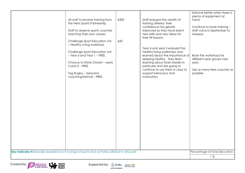|       | Key indicator 4: Broader experience of a range of sports and activities offered to all pupils<br>Percentage of total allocation: | £300<br>All staff to receive training from<br>the Herts Sports Partnership.<br>Staff to observe sports coaches<br>teaching their own classes:<br>Challenge Sport Education Ltd<br>£50<br>- Healthy Living workshop.<br>Challenge Sport Education Ltd<br>- Year 6 and Year 1 - FREE.<br>Chance to Shine Cricket - years<br>$3$ and $5$ – FREE.<br>Tag Rugby - Saracens<br>coaching/festival - FREE. | Staff enjoyed the wealth of<br>training offered, their<br>confidence has greatly<br>improved as they have learnt<br>new skills and new ideas for<br>their PE lessons.<br>Year 4 and year 5 enjoyed the<br>healthy living workshops and<br>learned about the importance of<br>keeping healthy. They liked<br>learning about brain breaks in<br>particular and are going to<br>continue to use them in class to<br>support behaviour and<br>motivation. | behave better when there is<br>plenty of equipment at<br>hand.<br>Continue to book training -<br>staff voice in September to<br>reassess.<br>Book the workshops for<br>different year groups next<br>year.<br>Use as many free coaches as<br>possible. |
|-------|----------------------------------------------------------------------------------------------------------------------------------|----------------------------------------------------------------------------------------------------------------------------------------------------------------------------------------------------------------------------------------------------------------------------------------------------------------------------------------------------------------------------------------------------|-------------------------------------------------------------------------------------------------------------------------------------------------------------------------------------------------------------------------------------------------------------------------------------------------------------------------------------------------------------------------------------------------------------------------------------------------------|--------------------------------------------------------------------------------------------------------------------------------------------------------------------------------------------------------------------------------------------------------|
| $1\%$ |                                                                                                                                  |                                                                                                                                                                                                                                                                                                                                                                                                    |                                                                                                                                                                                                                                                                                                                                                                                                                                                       |                                                                                                                                                                                                                                                        |



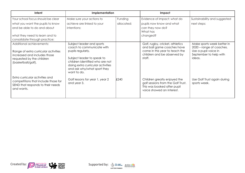| Intent                                                                                                                                                                  | Implementation                                                                                                                                                                                                                  |                       | Impact                                                                                                                                   |                                                                                                                    |
|-------------------------------------------------------------------------------------------------------------------------------------------------------------------------|---------------------------------------------------------------------------------------------------------------------------------------------------------------------------------------------------------------------------------|-----------------------|------------------------------------------------------------------------------------------------------------------------------------------|--------------------------------------------------------------------------------------------------------------------|
| Your school focus should be clear<br>what you want the pupils to know<br>and be able to do and about<br>what they need to learn and to<br>consolidate through practice: | Make sure your actions to<br>achieve are linked to your<br>intentions:                                                                                                                                                          | Funding<br>allocated: | Evidence of impact: what do<br>pupils now know and what<br>can they now do?<br>What has<br>changed?                                      | Sustainability and suggested<br>next steps:                                                                        |
| Additional achievements:<br>Range of extra curricular activities<br>increased and includes those<br>requested by the children<br>(basketball/golf).                     | Subject leader and sports<br>coach to communicate with<br>pupils regularly.<br>Subject leader to speak to<br>children identified who are not<br>doing extra curricular activities<br>and ask why/what sport they<br>want to do. |                       | Golf, rugby, cricket, athletics<br>and ball game coaches have<br>come in this year to teach the<br>children and be observed by<br>staff. | Make sports week better in<br>2020 - range of coaches.<br>Use a pupil voice in<br>September to help with<br>ideas. |
| Extra curricular activities and<br>competitions that include those for<br>SEND that responds to their needs<br>and wants.                                               | Golf lessons for year 1, year 2<br>and year 3.                                                                                                                                                                                  | £240                  | Children greatly enjoyed the<br>golf sessions from the Golf Trust.<br>This was booked after pupil<br>voice showed an interest.           | Use Golf Trust again during<br>sports week.                                                                        |